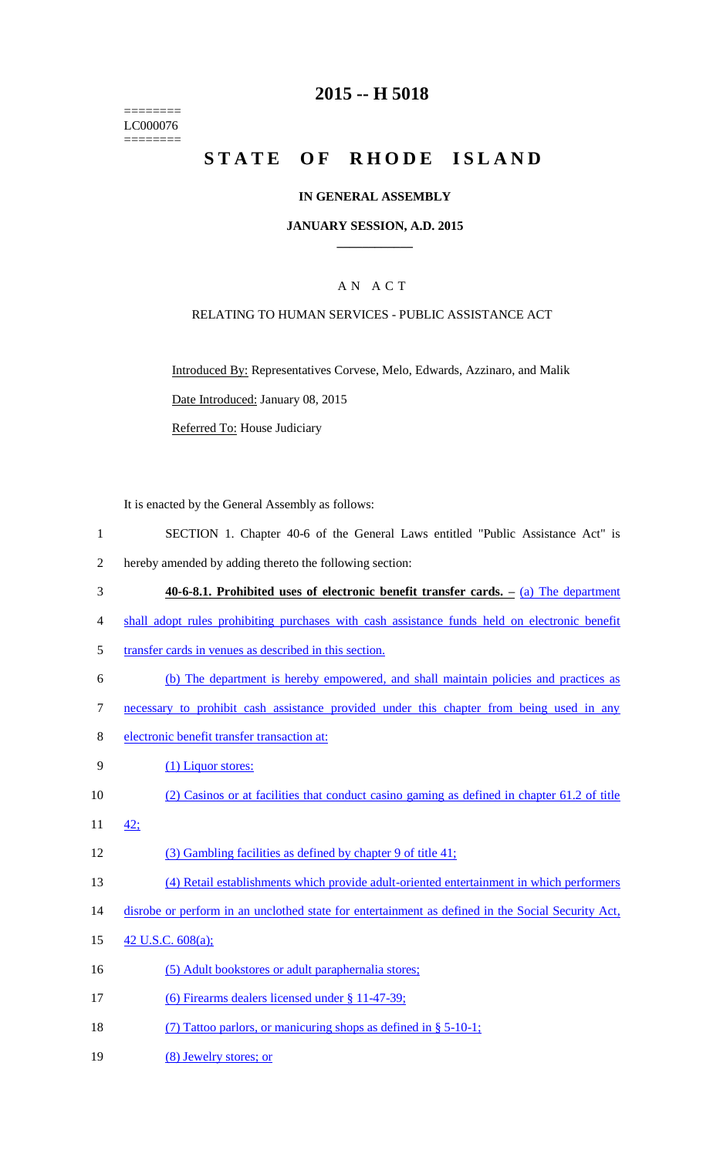======== LC000076 ========

## **2015 -- H 5018**

# STATE OF RHODE ISLAND

### **IN GENERAL ASSEMBLY**

#### **JANUARY SESSION, A.D. 2015 \_\_\_\_\_\_\_\_\_\_\_\_**

## A N A C T

#### RELATING TO HUMAN SERVICES - PUBLIC ASSISTANCE ACT

Introduced By: Representatives Corvese, Melo, Edwards, Azzinaro, and Malik Date Introduced: January 08, 2015

Referred To: House Judiciary

It is enacted by the General Assembly as follows:

- 1 SECTION 1. Chapter 40-6 of the General Laws entitled "Public Assistance Act" is
- 2 hereby amended by adding thereto the following section:
- 3 **40-6-8.1. Prohibited uses of electronic benefit transfer cards. –** (a) The department
- 4 shall adopt rules prohibiting purchases with cash assistance funds held on electronic benefit
- 5 transfer cards in venues as described in this section.
- 6 (b) The department is hereby empowered, and shall maintain policies and practices as
- 7 necessary to prohibit cash assistance provided under this chapter from being used in any
- 8 electronic benefit transfer transaction at:
- 9 (1) Liquor stores:
- 10 (2) Casinos or at facilities that conduct casino gaming as defined in chapter 61.2 of title
- 11 42;
- 12 (3) Gambling facilities as defined by chapter 9 of title 41;
- 13 (4) Retail establishments which provide adult-oriented entertainment in which performers
- 14 disrobe or perform in an unclothed state for entertainment as defined in the Social Security Act,
- 15 42 U.S.C. 608(a);
- 16 (5) Adult bookstores or adult paraphernalia stores;
- 17 (6) Firearms dealers licensed under § 11-47-39;
- 18 (7) Tattoo parlors, or manicuring shops as defined in § 5-10-1;
- 19 (8) Jewelry stores; or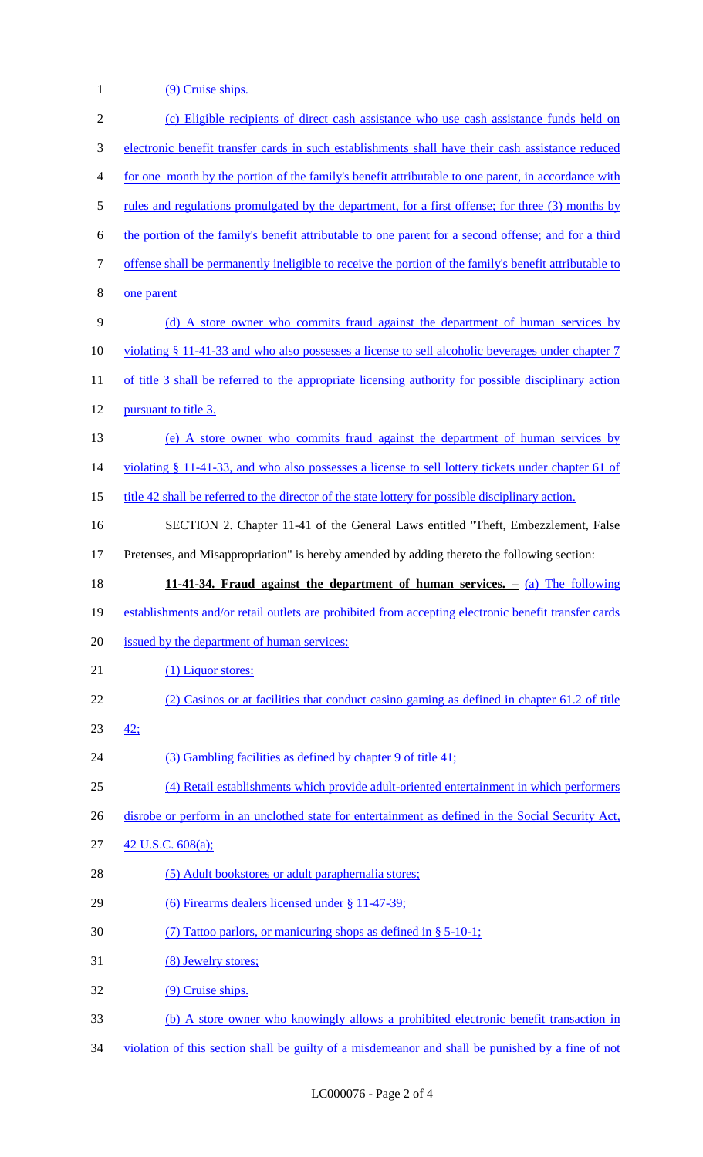1 (9) Cruise ships.

| $\overline{2}$ | (c) Eligible recipients of direct cash assistance who use cash assistance funds held on                  |
|----------------|----------------------------------------------------------------------------------------------------------|
| $\mathfrak{Z}$ | electronic benefit transfer cards in such establishments shall have their cash assistance reduced        |
| $\overline{4}$ | for one month by the portion of the family's benefit attributable to one parent, in accordance with      |
| 5              | <u>rules and regulations promulgated by the department, for a first offense; for three (3) months by</u> |
| 6              | the portion of the family's benefit attributable to one parent for a second offense; and for a third     |
| $\tau$         | offense shall be permanently ineligible to receive the portion of the family's benefit attributable to   |
| 8              | one parent                                                                                               |
| 9              | (d) A store owner who commits fraud against the department of human services by                          |
| 10             | violating § 11-41-33 and who also possesses a license to sell alcoholic beverages under chapter 7        |
| 11             | of title 3 shall be referred to the appropriate licensing authority for possible disciplinary action     |
| 12             | pursuant to title 3.                                                                                     |
| 13             | (e) A store owner who commits fraud against the department of human services by                          |
| 14             | violating § 11-41-33, and who also possesses a license to sell lottery tickets under chapter 61 of       |
| 15             | <u>title 42 shall be referred to the director of the state lottery for possible disciplinary action.</u> |
| 16             | SECTION 2. Chapter 11-41 of the General Laws entitled "Theft, Embezzlement, False                        |
| 17             | Pretenses, and Misappropriation" is hereby amended by adding thereto the following section:              |
| 18             | 11-41-34. Fraud against the department of human services. $-$ (a) The following                          |
| 19             | establishments and/or retail outlets are prohibited from accepting electronic benefit transfer cards     |
| 20             | issued by the department of human services:                                                              |
| 21             | (1) Liquor stores:                                                                                       |
| 22             | (2) Casinos or at facilities that conduct casino gaming as defined in chapter 61.2 of title              |
| 23             | 42:                                                                                                      |
| 24             | (3) Gambling facilities as defined by chapter 9 of title 41;                                             |
| 25             | (4) Retail establishments which provide adult-oriented entertainment in which performers                 |
| 26             | disrobe or perform in an unclothed state for entertainment as defined in the Social Security Act,        |
| 27             | 42 U.S.C. 608(a);                                                                                        |
| 28             | (5) Adult bookstores or adult paraphernalia stores;                                                      |
| 29             | (6) Firearms dealers licensed under § 11-47-39;                                                          |
| 30             | (7) Tattoo parlors, or manicuring shops as defined in $\S$ 5-10-1;                                       |
|                |                                                                                                          |
| 31             | (8) Jewelry stores;                                                                                      |
| 32             | (9) Cruise ships.                                                                                        |

34 violation of this section shall be guilty of a misdemeanor and shall be punished by a fine of not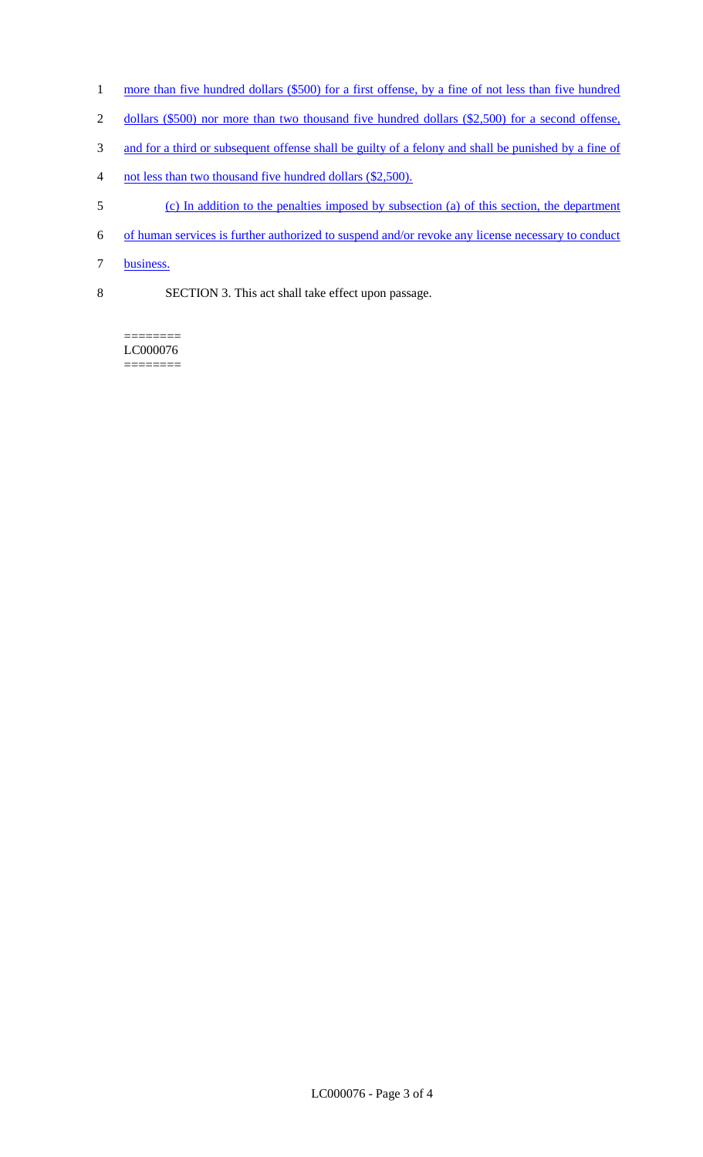- 1 more than five hundred dollars (\$500) for a first offense, by a fine of not less than five hundred
- 2 dollars (\$500) nor more than two thousand five hundred dollars (\$2,500) for a second offense,
- 3 and for a third or subsequent offense shall be guilty of a felony and shall be punished by a fine of
- 4 not less than two thousand five hundred dollars (\$2,500).
- 5 (c) In addition to the penalties imposed by subsection (a) of this section, the department
- 6 of human services is further authorized to suspend and/or revoke any license necessary to conduct
- 7 business.
- 8 SECTION 3. This act shall take effect upon passage.

======== LC000076 ========